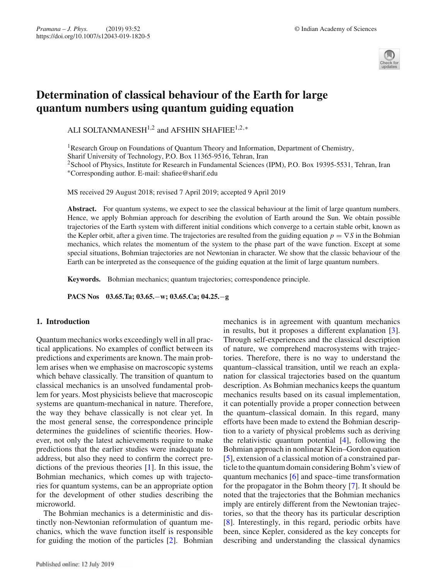

# **Determination of classical behaviour of the Earth for large quantum numbers using quantum guiding equation**

ALI SOLTANMANESH<sup>1,2</sup> and AFSHIN SHAFIEE<sup>1,2,∗</sup>

<sup>1</sup>Research Group on Foundations of Quantum Theory and Information, Department of Chemistry, Sharif University of Technology, P.O. Box 11365-9516, Tehran, Iran <sup>2</sup>School of Physics, Institute for Research in Fundamental Sciences (IPM), P.O. Box 19395-5531, Tehran, Iran ∗Corresponding author. E-mail: shafiee@sharif.edu

MS received 29 August 2018; revised 7 April 2019; accepted 9 April 2019

**Abstract.** For quantum systems, we expect to see the classical behaviour at the limit of large quantum numbers. Hence, we apply Bohmian approach for describing the evolution of Earth around the Sun. We obtain possible trajectories of the Earth system with different initial conditions which converge to a certain stable orbit, known as the Kepler orbit, after a given time. The trajectories are resulted from the guiding equation  $p = \nabla S$  in the Bohmian mechanics, which relates the momentum of the system to the phase part of the wave function. Except at some special situations, Bohmian trajectories are not Newtonian in character. We show that the classic behaviour of the Earth can be interpreted as the consequence of the guiding equation at the limit of large quantum numbers.

**Keywords.** Bohmian mechanics; quantum trajectories; correspondence principle.

**PACS Nos 03.65.Ta; 03.65.**−**w; 03.65.Ca; 04.25.**−**g**

# **1. Introduction**

Quantum mechanics works exceedingly well in all practical applications. No examples of conflict between its predictions and experiments are known. The main problem arises when we emphasise on macroscopic systems which behave classically. The transition of quantum to classical mechanics is an unsolved fundamental problem for years. Most physicists believe that macroscopic systems are quantum-mechanical in nature. Therefore, the way they behave classically is not clear yet. In the most general sense, the correspondence principle determines the guidelines of scientific theories. However, not only the latest achievements require to make predictions that the earlier studies were inadequate to address, but also they need to confirm the correct predictions of the previous theories [1]. In this issue, the Bohmian mechanics, which comes up with trajectories for quantum systems, can be an appropriate option for the development of other studies describing the microworld.

The Bohmian mechanics is a deterministic and distinctly non-Newtonian reformulation of quantum mechanics, which the wave function itself is responsible for guiding the motion of the particles [2]. Bohmian

Published online: 12 July 2019

mechanics is in agreement with quantum mechanics in results, but it proposes a different explanation [3]. Through self-experiences and the classical description of nature, we comprehend macrosystems with trajectories. Therefore, there is no way to understand the quantum–classical transition, until we reach an explanation for classical trajectories based on the quantum description. As Bohmian mechanics keeps the quantum mechanics results based on its casual implementation, it can potentially provide a proper connection between the quantum–classical domain. In this regard, many efforts have been made to extend the Bohmian description to a variety of physical problems such as deriving the relativistic quantum potential [4], following the Bohmian approach in nonlinear Klein–Gordon equation [5], extension of a classical motion of a constrained particle to the quantum domain considering Bohm's view of quantum mechanics [6] and space–time transformation for the propagator in the Bohm theory [7]. It should be noted that the trajectories that the Bohmian mechanics imply are entirely different from the Newtonian trajectories, so that the theory has its particular description [8]. Interestingly, in this regard, periodic orbits have been, since Kepler, considered as the key concepts for describing and understanding the classical dynamics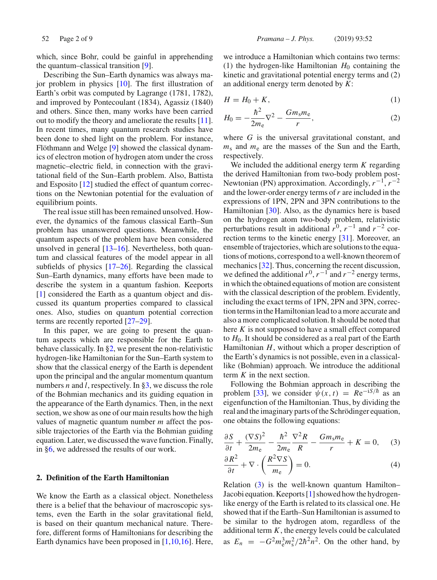which, since Bohr, could be gainful in apprehending the quantum–classical transition [9].

Describing the Sun–Earth dynamics was always major problem in physics [10]. The first illustration of Earth's orbit was computed by Lagrange (1781, 1782), and improved by Pontecoulant (1834), Agassiz (1840) and others. Since then, many works have been carried out to modify the theory and ameliorate the results [11]. In recent times, many quantum research studies have been done to shed light on the problem. For instance, Flöthmann and Welge [9] showed the classical dynamics of electron motion of hydrogen atom under the cross magnetic–electric field, in connection with the gravitational field of the Sun–Earth problem. Also, Battista and Esposito [12] studied the effect of quantum corrections on the Newtonian potential for the evaluation of equilibrium points.

The real issue still has been remained unsolved. However, the dynamics of the famous classical Earth–Sun problem has unanswered questions. Meanwhile, the quantum aspects of the problem have been considered unsolved in general [13–16]. Nevertheless, both quantum and classical features of the model appear in all subfields of physics [17–26]. Regarding the classical Sun–Earth dynamics, many efforts have been made to describe the system in a quantum fashion. Keeports [1] considered the Earth as a quantum object and discussed its quantum properties compared to classical ones. Also, studies on quantum potential correction terms are recently reported [27–29].

In this paper, we are going to present the quantum aspects which are responsible for the Earth to behave classically. In §2, we present the non-relativistic hydrogen-like Hamiltonian for the Sun–Earth system to show that the classical energy of the Earth is dependent upon the principal and the angular momentum quantum numbers *n* and *l*, respectively. In §3, we discuss the role of the Bohmian mechanics and its guiding equation in the appearance of the Earth dynamics. Then, in the next section, we show as one of our main results how the high values of magnetic quantum number *m* affect the possible trajectories of the Earth via the Bohmian guiding equation. Later, we discussed the wave function. Finally, in §6, we addressed the results of our work.

## **2. Definition of the Earth Hamiltonian**

We know the Earth as a classical object. Nonetheless there is a belief that the behaviour of macroscopic systems, even the Earth in the solar gravitational field, is based on their quantum mechanical nature. Therefore, different forms of Hamiltonians for describing the Earth dynamics have been proposed in [1,10,16]. Here, we introduce a Hamiltonian which contains two terms: (1) the hydrogen-like Hamiltonian  $H_0$  containing the kinetic and gravitational potential energy terms and (2) an additional energy term denoted by *K*:

$$
H = H_0 + K,\t\t(1)
$$

$$
H_0 = -\frac{\hbar^2}{2m_e}\nabla^2 - \frac{Gm_s m_e}{r},
$$
\n(2)

where *G* is the universal gravitational constant, and *m*<sup>s</sup> and *m*<sup>e</sup> are the masses of the Sun and the Earth, respectively.

We included the additional energy term *K* regarding the derived Hamiltonian from two-body problem post-Newtonian (PN) approximation. Accordingly, *r*−1, *r*−<sup>2</sup> and the lower-order energy terms of*r* are included in the expressions of 1PN, 2PN and 3PN contributions to the Hamiltonian [30]. Also, as the dynamics here is based on the hydrogen atom two-body problem, relativistic perturbations result in additional  $r^0$ ,  $r^{-1}$  and  $r^{-2}$  correction terms to the kinetic energy [31]. Moreover, an ensemble of trajectories, which are solutions to the equations of motions, correspond to a well-known theorem of mechanics [32]. Thus, concerning the recent discussion, we defined the additional  $r^0$ ,  $r^{-1}$  and  $r^{-2}$  energy terms, in which the obtained equations of motion are consistent with the classical description of the problem. Evidently, including the exact terms of 1PN, 2PN and 3PN, correction terms in the Hamiltonian lead to a more accurate and also a more complicated solution. It should be noted that here *K* is not supposed to have a small effect compared to *H*0. It should be considered as a real part of the Earth Hamiltonian *H*, without which a proper description of the Earth's dynamics is not possible, even in a classicallike (Bohmian) approach. We introduce the additional term *K* in the next section.

Following the Bohmian approach in describing the problem [33], we consider  $\psi(x, t) = Re^{-iS/\hbar}$  as an eigenfunction of the Hamiltonian. Thus, by dividing the real and the imaginary parts of the Schrödinger equation, one obtains the following equations:

$$
\frac{\partial S}{\partial t} + \frac{(\nabla S)^2}{2m_e} - \frac{\hbar^2}{2m_e} \frac{\nabla^2 R}{R} - \frac{Gm_s m_e}{r} + K = 0, \quad (3)
$$

$$
\frac{\partial R^2}{\partial t} + \nabla \cdot \left(\frac{R^2 \nabla S}{m_e}\right) = 0.
$$
 (4)

Relation (3) is the well-known quantum Hamilton– Jacobi equation. Keeports [1] showed how the hydrogenlike energy of the Earth is related to its classical one. He showed that if the Earth–Sun Hamiltonian is assumed to be similar to the hydrogen atom, regardless of the additional term  $K$ , the energy levels could be calculated as  $E_n = -G^2 m_e^3 m_s^2 / 2\hbar^2 n^2$ . On the other hand, by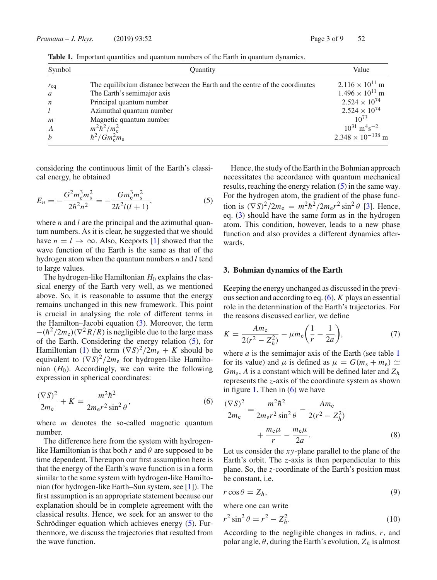**Table 1.** Important quantities and quantum numbers of the Earth in quantum dynamics.

| Symbol           | Quantity                                                                     | Value                                    |
|------------------|------------------------------------------------------------------------------|------------------------------------------|
| $r_{\text{eq}}$  | The equilibrium distance between the Earth and the centre of the coordinates | $2.116 \times 10^{11}$ m                 |
| $\mathfrak{a}$   | The Earth's semimajor axis                                                   | $1.496 \times 10^{11}$ m                 |
| $\boldsymbol{n}$ | Principal quantum number                                                     | $2.524 \times 10^{74}$                   |
|                  | Azimuthal quantum number                                                     | $2.524 \times 10^{74}$                   |
| $\mathfrak{m}$   | Magnetic quantum number                                                      | $10^{73}$                                |
| A                | $m^2\hbar^2/m_e^2$                                                           | $10^{31}$ m <sup>4</sup> s <sup>-2</sup> |
|                  | $\hbar^2/Gm_e^2m_s$                                                          | $2.348 \times 10^{-138}$ m               |

considering the continuous limit of the Earth's classical energy, he obtained

$$
E_n = -\frac{G^2 m_{\rm e}^3 m_{\rm s}^2}{2\hbar^2 n^2} = -\frac{G m_{\rm e}^3 m_{\rm s}^2}{2\hbar^2 l(l+1)},\tag{5}
$$

where *n* and *l* are the principal and the azimuthal quantum numbers. As it is clear, he suggested that we should have  $n = l \rightarrow \infty$ . Also, Keeports [1] showed that the wave function of the Earth is the same as that of the hydrogen atom when the quantum numbers *n* and *l* tend to large values.

The hydrogen-like Hamiltonian  $H_0$  explains the classical energy of the Earth very well, as we mentioned above. So, it is reasonable to assume that the energy remains unchanged in this new framework. This point is crucial in analysing the role of different terms in the Hamilton–Jacobi equation  $(3)$ . Moreover, the term  $-(\hbar^2/2m_e)(\nabla^2 R/R)$  is negligible due to the large mass of the Earth. Considering the energy relation (5), for Hamiltonian (1) the term  $(\nabla S)^2/2m_e + K$  should be equivalent to  $(\nabla S)^2/2m_e$  for hydrogen-like Hamiltonian  $(H_0)$ . Accordingly, we can write the following expression in spherical coordinates:

$$
\frac{(\nabla S)^2}{2m_e} + K = \frac{m^2 \hbar^2}{2m_e r^2 \sin^2 \theta},
$$
\n(6)

where *m* denotes the so-called magnetic quantum number.

The difference here from the system with hydrogenlike Hamiltonian is that both  $r$  and  $\theta$  are supposed to be time dependent. Thereupon our first assumption here is that the energy of the Earth's wave function is in a form similar to the same system with hydrogen-like Hamiltonian (for hydrogen-like Earth–Sun system, see [1]). The first assumption is an appropriate statement because our explanation should be in complete agreement with the classical results. Hence, we seek for an answer to the Schrödinger equation which achieves energy (5). Furthermore, we discuss the trajectories that resulted from the wave function.

Hence, the study of the Earth in the Bohmian approach necessitates the accordance with quantum mechanical results, reaching the energy relation (5) in the same way. For the hydrogen atom, the gradient of the phase function is  $(\nabla S)^2/2m_e = m^2\hbar^2/2m_e r^2 \sin^2\theta$  [3]. Hence, eq. (3) should have the same form as in the hydrogen atom. This condition, however, leads to a new phase function and also provides a different dynamics afterwards.

#### **3. Bohmian dynamics of the Earth**

Keeping the energy unchanged as discussed in the previous section and according to eq. (6), *K* plays an essential role in the determination of the Earth's trajectories. For the reasons discussed earlier, we define

$$
K = \frac{Am_e}{2(r^2 - Z_h^2)} - \mu m_e \left(\frac{1}{r} - \frac{1}{2a}\right),\tag{7}
$$

where *a* is the semimajor axis of the Earth (see table 1) for its value) and  $\mu$  is defined as  $\mu = G(m_s + m_e) \simeq$  $Gm<sub>s</sub>$ , *A* is a constant which will be defined later and  $Z<sub>h</sub>$ represents the *z*-axis of the coordinate system as shown in figure 1. Then in  $(6)$  we have

$$
\frac{(\nabla S)^2}{2m_e} = \frac{m^2 \hbar^2}{2m_e r^2 \sin^2 \theta} - \frac{Am_e}{2(r^2 - Z_h^2)} + \frac{m_e \mu}{r} - \frac{m_e \mu}{2a}.
$$
\n(8)

Let us consider the *x y*-plane parallel to the plane of the Earth's orbit. The *z*-axis is then perpendicular to this plane. So, the *z*-coordinate of the Earth's position must be constant, i.e.

$$
r\cos\theta = Z_h,\tag{9}
$$

where one can write

$$
r^2 \sin^2 \theta = r^2 - Z_h^2. \tag{10}
$$

According to the negligible changes in radius, *r*, and polar angle,  $\theta$ , during the Earth's evolution,  $Z_h$  is almost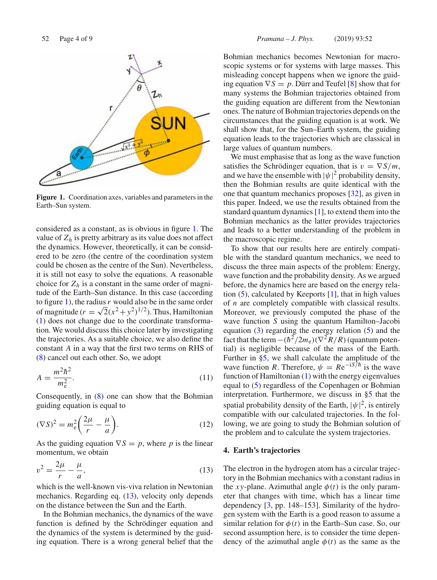

**Figure 1.** Coordination axes, variables and parameters in the Earth–Sun system.

considered as a constant, as is obvious in figure 1. The value of  $Z_h$  is pretty arbitrary as its value does not affect the dynamics. However, theoretically, it can be considered to be zero (the centre of the coordination system could be chosen as the centre of the Sun). Nevertheless, it is still not easy to solve the equations. A reasonable choice for  $Z_h$  is a constant in the same order of magnitude of the Earth–Sun distance. In this case (according to figure 1), the radius*r* would also be in the same order of magnitude  $(r = \sqrt{2}(x^2 + y^2)^{1/2})$ . Thus, Hamiltonian (1) does not change due to the coordinate transformation. We would discuss this choice later by investigating the trajectories. As a suitable choice, we also define the constant *A* in a way that the first two terms on RHS of (8) cancel out each other. So, we adopt

$$
A = \frac{m^2 \hbar^2}{m_e^2}.
$$
\n<sup>(11)</sup>

Consequently, in (8) one can show that the Bohmian guiding equation is equal to

$$
(\nabla S)^2 = m_e^2 \left(\frac{2\mu}{r} - \frac{\mu}{a}\right).
$$
 (12)

As the guiding equation  $\nabla S = p$ , where *p* is the linear momentum, we obtain

$$
v^2 = \frac{2\mu}{r} - \frac{\mu}{a},\tag{13}
$$

which is the well-known vis-viva relation in Newtonian mechanics. Regarding eq. (13), velocity only depends on the distance between the Sun and the Earth.

In the Bohmian mechanics, the dynamics of the wave function is defined by the Schrödinger equation and the dynamics of the system is determined by the guiding equation. There is a wrong general belief that the Bohmian mechanics becomes Newtonian for macroscopic systems or for systems with large masses. This misleading concept happens when we ignore the guiding equation  $\nabla S = p$ . Dürr and Teufel [8] show that for many systems the Bohmian trajectories obtained from the guiding equation are different from the Newtonian ones. The nature of Bohmian trajectories depends on the circumstances that the guiding equation is at work. We shall show that, for the Sun–Earth system, the guiding equation leads to the trajectories which are classical in large values of quantum numbers.

We must emphasise that as long as the wave function satisfies the Schrödinger equation, that is  $v = \nabla S/m$ , and we have the ensemble with  $|\psi|^2$  probability density, then the Bohmian results are quite identical with the one that quantum mechanics proposes [32], as given in this paper. Indeed, we use the results obtained from the standard quantum dynamics [1], to extend them into the Bohmian mechanics as the latter provides trajectories and leads to a better understanding of the problem in the macroscopic regime.

To show that our results here are entirely compatible with the standard quantum mechanics, we need to discuss the three main aspects of the problem: Energy, wave function and the probability density. As we argued before, the dynamics here are based on the energy relation  $(5)$ , calculated by Keeports [1], that in high values of *n* are completely compatible with classical results. Moreover, we previously computed the phase of the wave function *S* using the quantum Hamilton–Jacobi equation (3) regarding the energy relation (5) and the fact that the term  $-(\hbar^2/2m_e)(\nabla^2 R/R)$  (quantum potential) is negligible because of the mass of the Earth. Further in §5, we shall calculate the amplitude of the wave function *R*. Therefore,  $\psi = Re^{-iS/\hbar}$  is the wave function of Hamiltonian (1) with the energy eigenvalues equal to (5) regardless of the Copenhagen or Bohmian interpretation. Furthermore, we discuss in §5 that the spatial probability density of the Earth,  $|\psi|^2$ , is entirely compatible with our calculated trajectories. In the following, we are going to study the Bohmian solution of the problem and to calculate the system trajectories.

#### **4. Earth's trajectories**

The electron in the hydrogen atom has a circular trajectory in the Bohmian mechanics with a constant radius in the *xy*-plane. Azimuthal angle  $\phi(t)$  is the only parameter that changes with time, which has a linear time dependency [3, pp. 148–153]. Similarity of the hydrogen system with the Earth is a good reason to assume a similar relation for  $\phi(t)$  in the Earth–Sun case. So, our second assumption here, is to consider the time dependency of the azimuthal angle  $\phi(t)$  as the same as the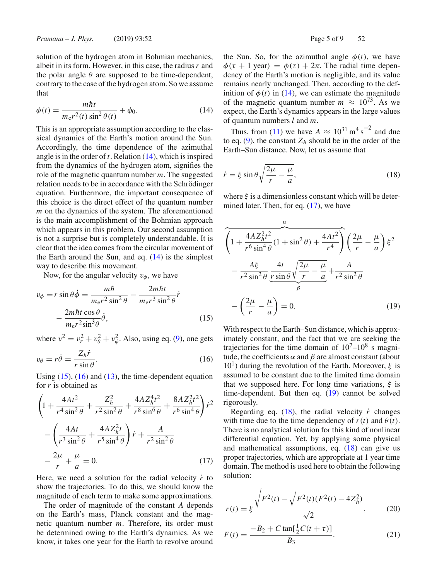solution of the hydrogen atom in Bohmian mechanics, albeit in its form. However, in this case, the radius*r* and the polar angle  $\theta$  are supposed to be time-dependent, contrary to the case of the hydrogen atom. So we assume that

$$
\phi(t) = \frac{m\hbar t}{m_{\rm e}r^2(t)\sin^2\theta(t)} + \phi_0.
$$
\n(14)

This is an appropriate assumption according to the classical dynamics of the Earth's motion around the Sun. Accordingly, the time dependence of the azimuthal angle is in the order of *t*. Relation (14), which is inspired from the dynamics of the hydrogen atom, signifies the role of the magnetic quantum number *m*. The suggested relation needs to be in accordance with the Schrödinger equation. Furthermore, the important consequence of this choice is the direct effect of the quantum number *m* on the dynamics of the system. The aforementioned is the main accomplishment of the Bohmian approach which appears in this problem. Our second assumption is not a surprise but is completely understandable. It is clear that the idea comes from the circular movement of the Earth around the Sun, and eq.  $(14)$  is the simplest way to describe this movement.

Now, for the angular velocity  $v_{\phi}$ , we have

$$
v_{\phi} = r \sin \theta \dot{\phi} = \frac{m\hbar}{m_{\text{e}}r^2 \sin^2 \theta} - \frac{2m\hbar t}{m_{\text{e}}r^3 \sin^2 \theta} \dot{r}
$$

$$
- \frac{2m\hbar t \cos \theta}{m_{\text{e}}r^2 \sin^3 \theta} \dot{\theta}, \qquad (15)
$$

where  $v^2 = v_r^2 + v_\theta^2 + v_\phi^2$ . Also, using eq. (9), one gets

$$
v_{\theta} = r\dot{\theta} = \frac{Z_h \dot{r}}{r \sin \theta}.
$$
 (16)

Using (15), (16) and (13), the time-dependent equation for *r* is obtained as

$$
\left(1 + \frac{4At^2}{r^4 \sin^2 \theta} + \frac{Z_h^2}{r^2 \sin^2 \theta} + \frac{4AZ_h^4 t^2}{r^8 \sin^6 \theta} + \frac{8AZ_h^2 t^2}{r^6 \sin^4 \theta}\right) \dot{r}^2
$$

$$
- \left(\frac{4At}{r^3 \sin^2 \theta} + \frac{4AZ_h^2 t}{r^5 \sin^4 \theta}\right) \dot{r} + \frac{A}{r^2 \sin^2 \theta}
$$

$$
- \frac{2\mu}{r} + \frac{\mu}{a} = 0. \tag{17}
$$

Here, we need a solution for the radial velocity  $\dot{r}$  to show the trajectories. To do this, we should know the magnitude of each term to make some approximations.

The order of magnitude of the constant *A* depends on the Earth's mass, Planck constant and the magnetic quantum number *m*. Therefore, its order must be determined owing to the Earth's dynamics. As we know, it takes one year for the Earth to revolve around the Sun. So, for the azimuthal angle  $\phi(t)$ , we have  $\phi(\tau + 1$  year) =  $\phi(\tau) + 2\pi$ . The radial time dependency of the Earth's motion is negligible, and its value remains nearly unchanged. Then, according to the definition of  $\phi(t)$  in (14), we can estimate the magnitude of the magnetic quantum number  $m \approx 10^{73}$ . As we expect, the Earth's dynamics appears in the large values of quantum numbers *l* and *m*.

Thus, from (11) we have  $A \approx 10^{31} \text{ m}^4 \text{ s}^{-2}$  and due to eq. (9), the constant  $Z_h$  should be in the order of the Earth–Sun distance. Now, let us assume that

$$
\dot{r} = \xi \sin \theta \sqrt{\frac{2\mu}{r} - \frac{\mu}{a}},\tag{18}
$$

where  $\xi$  is a dimensionless constant which will be determined later. Then, for eq. (17), we have

$$
\frac{\alpha}{\left(1 + \frac{4AZ_h^2t^2}{r^6\sin^4\theta}(1 + \sin^2\theta) + \frac{4At^2}{r^4}\right)} \left(\frac{2\mu}{r} - \frac{\mu}{a}\right) \xi^2
$$

$$
-\frac{A\xi}{r^2\sin^2\theta} \frac{4t}{r\sin\theta} \sqrt{\frac{2\mu}{r} - \frac{\mu}{a}} + \frac{A}{r^2\sin^2\theta}
$$

$$
-\left(\frac{2\mu}{r} - \frac{\mu}{a}\right) = 0.
$$
(19)

With respect to the Earth–Sun distance, which is approximately constant, and the fact that we are seeking the trajectories for the time domain of  $10^7$ – $10^8$  s magnitude, the coefficients  $\alpha$  and  $\beta$  are almost constant (about  $10<sup>1</sup>$ ) during the revolution of the Earth. Moreover,  $\xi$  is assumed to be constant due to the limited time domain that we supposed here. For long time variations,  $\xi$  is time-dependent. But then eq. (19) cannot be solved rigorously.

Regarding eq.  $(18)$ , the radial velocity  $\dot{r}$  changes with time due to the time dependency of  $r(t)$  and  $\theta(t)$ . There is no analytical solution for this kind of nonlinear differential equation. Yet, by applying some physical and mathematical assumptions, eq. (18) can give us proper trajectories, which are appropriate at 1 year time domain. The method is used here to obtain the following solution:

$$
r(t) = \xi \frac{\sqrt{F^2(t) - \sqrt{F^2(t)(F^2(t) - 4Z_h^2)}}{\sqrt{2}},
$$
 (20)

$$
F(t) = \frac{-B_2 + C \tan[\frac{1}{2}C(t+\tau)]}{B_3}.
$$
 (21)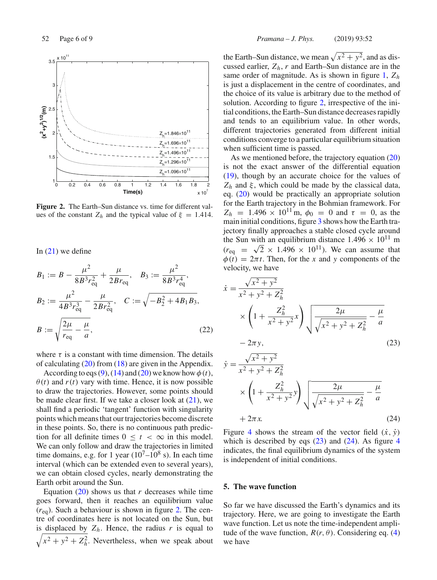

**Figure 2.** The Earth–Sun distance vs. time for different values of the constant  $Z_h$  and the typical value of  $\xi = 1.414$ .

In  $(21)$  we define

$$
B_1 := B - \frac{\mu^2}{8B^3 r_{\text{eq}}^2} + \frac{\mu}{2Br_{\text{eq}}}, \quad B_3 := \frac{\mu^2}{8B^3 r_{\text{eq}}^4},
$$
  
\n
$$
B_2 := \frac{\mu^2}{4B^3 r_{\text{eq}}^3} - \frac{\mu}{2Br_{\text{eq}}^2}, \quad C := \sqrt{-B_2^2 + 4B_1B_3},
$$
  
\n
$$
B := \sqrt{\frac{2\mu}{r_{\text{eq}}} - \frac{\mu}{a}}, \quad (22)
$$

where  $\tau$  is a constant with time dimension. The details of calculating  $(20)$  from  $(18)$  are given in the Appendix.

According to eqs (9), (14) and (20) we know how  $\phi(t)$ ,  $\theta(t)$  and  $r(t)$  vary with time. Hence, it is now possible to draw the trajectories. However, some points should be made clear first. If we take a closer look at  $(21)$ , we shall find a periodic 'tangent' function with singularity points which means that our trajectories become discrete in these points. So, there is no continuous path prediction for all definite times  $0 \le t < \infty$  in this model. We can only follow and draw the trajectories in limited time domains, e.g. for 1 year  $(10<sup>7</sup>-10<sup>8</sup>$  s). In each time interval (which can be extended even to several years), we can obtain closed cycles, nearly demonstrating the Earth orbit around the Sun.

Equation  $(20)$  shows us that *r* decreases while time goes forward, then it reaches an equilibrium value (*r*eq). Such a behaviour is shown in figure 2. The centre of coordinates here is not located on the Sun, but  $\sqrt{x^2 + y^2 + Z_h^2}$ . Nevertheless, when we speak about is displaced by  $Z_h$ . Hence, the radius  $r$  is equal to

the Earth–Sun distance, we mean  $\sqrt{x^2 + y^2}$ , and as discussed earlier,  $Z_h$ ,  $r$  and Earth–Sun distance are in the same order of magnitude. As is shown in figure 1, *Zh* is just a displacement in the centre of coordinates, and the choice of its value is arbitrary due to the method of solution. According to figure 2, irrespective of the initial conditions, the Earth–Sun distance decreases rapidly and tends to an equilibrium value. In other words, different trajectories generated from different initial conditions converge to a particular equilibrium situation when sufficient time is passed.

As we mentioned before, the trajectory equation (20) is not the exact answer of the differential equation (19), though by an accurate choice for the values of  $Z_h$  and  $\xi$ , which could be made by the classical data, eq. (20) would be practically an appropriate solution for the Earth trajectory in the Bohmian framework. For  $Z_h = 1.496 \times 10^{11}$  m,  $\phi_0 = 0$  and  $\tau = 0$ , as the main initial conditions, figure 3 shows how the Earth trajectory finally approaches a stable closed cycle around the Sun with an equilibrium distance  $1.496 \times 10^{11}$  m  $(r_{eq} = \sqrt{2} \times 1.496 \times 10^{11})$ . We can assume that  $\phi(t) = 2\pi t$ . Then, for the *x* and *y* components of the velocity, we have

$$
\dot{x} = \frac{\sqrt{x^2 + y^2}}{x^2 + y^2 + Z_h^2}
$$
\n
$$
\times \left(1 + \frac{Z_h^2}{x^2 + y^2}x\right) \sqrt{\frac{2\mu}{\sqrt{x^2 + y^2 + Z_h^2}} - \frac{\mu}{a}}
$$
\n
$$
-2\pi y,
$$
\n
$$
\dot{y} = \frac{\sqrt{x^2 + y^2}}{x^2 + y^2}
$$
\n(23)

$$
y = x^{2} + y^{2} + Z_{h}^{2}
$$
  
 
$$
\times \left(1 + \frac{Z_{h}^{2}}{x^{2} + y^{2}}y\right) \sqrt{\frac{2\mu}{\sqrt{x^{2} + y^{2} + Z_{h}^{2}}} - \frac{\mu}{a}}
$$
  
+ 2\pi x. (24)

Figure 4 shows the stream of the vector field  $(\dot{x}, \dot{y})$ which is described by eqs  $(23)$  and  $(24)$ . As figure 4 indicates, the final equilibrium dynamics of the system is independent of initial conditions.

### **5. The wave function**

So far we have discussed the Earth's dynamics and its trajectory. Here, we are going to investigate the Earth wave function. Let us note the time-independent amplitude of the wave function,  $R(r, \theta)$ . Considering eq. (4) we have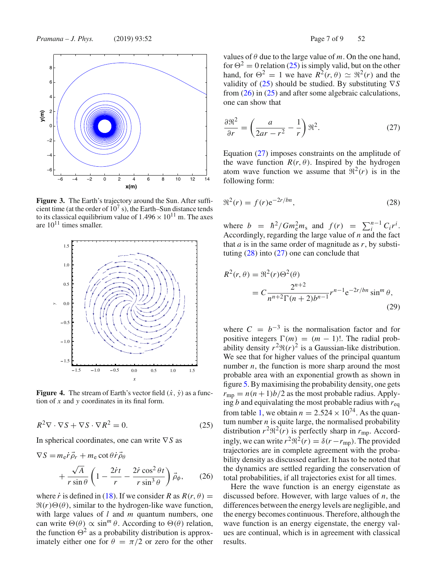

**Figure 3.** The Earth's trajectory around the Sun. After sufficient time (at the order of  $10^7$  s), the Earth–Sun distance tends to its classical equilibrium value of  $1.496 \times 10^{11}$  m. The axes are  $10^{11}$  times smaller.



**Figure 4.** The stream of Earth's vector field  $(\dot{x}, \dot{y})$  as a function of *x* and *y* coordinates in its final form.

$$
R^2 \nabla \cdot \nabla S + \nabla S \cdot \nabla R^2 = 0. \tag{25}
$$

In spherical coordinates, one can write ∇*S* as

$$
\nabla S = m_{\rm e} \dot{r} \vec{\rho}_r + m_{\rm e} \cot \theta \dot{r} \vec{\rho}_{\theta}
$$
  
+ 
$$
\frac{\sqrt{A}}{r \sin \theta} \left( 1 - \frac{2\dot{r}t}{r} - \frac{2\dot{r} \cos^2 \theta t}{r \sin^3 \theta} \right) \vec{\rho}_{\phi}, \qquad (26)
$$

where  $\dot{r}$  is defined in (18). If we consider *R* as  $R(r, \theta)$  =  $\Re(r)\Theta(\theta)$ , similar to the hydrogen-like wave function, with large values of *l* and *m* quantum numbers, one can write  $\Theta(\theta) \propto \sin^m \theta$ . According to  $\Theta(\theta)$  relation, the function  $\Theta^2$  as a probability distribution is approximately either one for  $\theta = \pi/2$  or zero for the other values of  $\theta$  due to the large value of *m*. On the one hand, for  $\Theta^2 = 0$  relation (25) is simply valid, but on the other hand, for  $\Theta^2 = 1$  we have  $R^2(r, \theta) \simeq \Re^2(r)$  and the validity of (25) should be studied. By substituting ∇*S* from  $(26)$  in  $(25)$  and after some algebraic calculations, one can show that

$$
\frac{\partial \mathfrak{R}^2}{\partial r} = \left(\frac{a}{2ar - r^2} - \frac{1}{r}\right) \mathfrak{R}^2.
$$
 (27)

Equation (27) imposes constraints on the amplitude of the wave function  $R(r, \theta)$ . Inspired by the hydrogen atom wave function we assume that  $\Re^2(r)$  is in the following form:

$$
\mathfrak{R}^2(r) = f(r) \mathrm{e}^{-2r/bn},\tag{28}
$$

where  $b = \hbar^2/Gm_e^2m_s$  and  $f(r) = \sum_{i=1}^{n-1} C_i r^i$ . Accordingly, regarding the large value of *n* and the fact that  $a$  is in the same order of magnitude as  $r$ , by substituting  $(28)$  into  $(27)$  one can conclude that

$$
R^{2}(r, \theta) = \mathfrak{R}^{2}(r)\Theta^{2}(\theta)
$$
  
=  $C \frac{2^{n+2}}{n^{n+2}\Gamma(n+2)b^{n-1}} r^{n-1} e^{-2r/bn} \sin^{m} \theta,$  (29)

where  $C = b^{-3}$  is the normalisation factor and for positive integers  $\Gamma(m) = (m - 1)!$ . The radial probability density  $r^2 \Re(r)^2$  is a Gaussian-like distribution. We see that for higher values of the principal quantum number  $n$ , the function is more sharp around the most probable area with an exponential growth as shown in figure 5. By maximising the probability density, one gets  $r_{\text{mp}} = n(n+1)b/2$  as the most probable radius. Applying *b* and equivalating the most probable radius with  $r_{eq}$ from table 1, we obtain  $n = 2.524 \times 10^{74}$ . As the quantum number  $n$  is quite large, the normalised probability distribution  $r^2 \Re^2(r)$  is perfectly sharp in  $r_{\rm mp}$ . Accordingly, we can write  $r^2 \Re^2(r) = \delta(r - r_{\text{mp}})$ . The provided trajectories are in complete agreement with the probability density as discussed earlier. It has to be noted that the dynamics are settled regarding the conservation of total probabilities, if all trajectories exist for all times.

Here the wave function is an energy eigenstate as discussed before. However, with large values of *n*, the differences between the energy levels are negligible, and the energy becomes continuous. Therefore, although the wave function is an energy eigenstate, the energy values are continual, which is in agreement with classical results.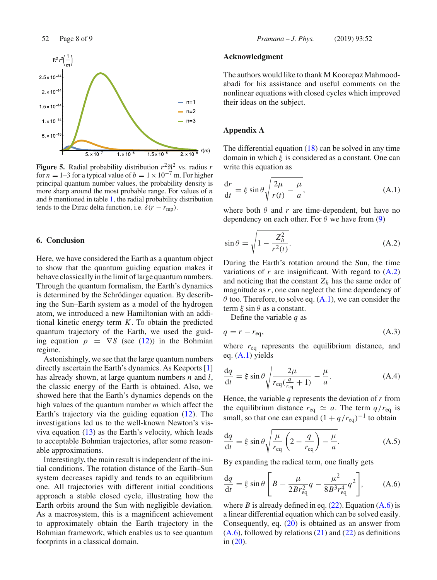

**Figure 5.** Radial probability distribution  $r^2 \Re^2$  vs. radius *r* for  $n = 1-3$  for a typical value of  $b = 1 \times 10^{-7}$  m. For higher principal quantum number values, the probability density is more sharp around the most probable range. For values of *n* and *b* mentioned in table 1, the radial probability distribution tends to the Dirac delta function, i.e.  $\delta(r - r_{\text{mp}})$ .

## **6. Conclusion**

Here, we have considered the Earth as a quantum object to show that the quantum guiding equation makes it behave classically in the limit of large quantum numbers. Through the quantum formalism, the Earth's dynamics is determined by the Schrödinger equation. By describing the Sun–Earth system as a model of the hydrogen atom, we introduced a new Hamiltonian with an additional kinetic energy term *K*. To obtain the predicted quantum trajectory of the Earth, we used the guiding equation  $p = \nabla S$  (see (12)) in the Bohmian regime.

Astonishingly, we see that the large quantum numbers directly ascertain the Earth's dynamics. As Keeports [1] has already shown, at large quantum numbers *n* and *l*, the classic energy of the Earth is obtained. Also, we showed here that the Earth's dynamics depends on the high values of the quantum number *m* which affect the Earth's trajectory via the guiding equation (12). The investigations led us to the well-known Newton's visviva equation (13) as the Earth's velocity, which leads to acceptable Bohmian trajectories, after some reasonable approximations.

Interestingly, the main result is independent of the initial conditions. The rotation distance of the Earth–Sun system decreases rapidly and tends to an equilibrium one. All trajectories with different initial conditions approach a stable closed cycle, illustrating how the Earth orbits around the Sun with negligible deviation. As a macrosystem, this is a magnificent achievement to approximately obtain the Earth trajectory in the Bohmian framework, which enables us to see quantum footprints in a classical domain.

### **Acknowledgment**

The authors would like to thank M Koorepaz Mahmoodabadi for his assistance and useful comments on the nonlinear equations with closed cycles which improved their ideas on the subject.

## **Appendix A**

The differential equation  $(18)$  can be solved in any time domain in which  $\xi$  is considered as a constant. One can write this equation as

$$
\frac{dr}{dt} = \xi \sin \theta \sqrt{\frac{2\mu}{r(t)} - \frac{\mu}{a}},
$$
\n(A.1)

where both  $\theta$  and  $r$  are time-dependent, but have no dependency on each other. For  $\theta$  we have from (9)

$$
\sin \theta = \sqrt{1 - \frac{Z_h^2}{r^2(t)}}.
$$
\n(A.2)

During the Earth's rotation around the Sun, the time variations of  $r$  are insignificant. With regard to  $(A.2)$ and noticing that the constant  $Z_h$  has the same order of magnitude as*r*, one can neglect the time dependency of  $\theta$  too. Therefore, to solve eq. (A.1), we can consider the term  $\xi$  sin  $\theta$  as a constant.

Define the variable *q* as

$$
q = r - r_{\text{eq}},\tag{A.3}
$$

where  $r_{eq}$  represents the equilibrium distance, and eq. (A.1) yields

$$
\frac{dq}{dt} = \xi \sin \theta \sqrt{\frac{2\mu}{r_{eq}(\frac{q}{r_{eq}} + 1)} - \frac{\mu}{a}}.
$$
 (A.4)

Hence, the variable *q* represents the deviation of *r* from the equilibrium distance  $r_{eq} \simeq a$ . The term  $q/r_{eq}$  is small, so that one can expand  $(1 + q/r_{\text{eq}})^{-1}$  to obtain

$$
\frac{dq}{dt} = \xi \sin \theta \sqrt{\frac{\mu}{r_{eq}} \left(2 - \frac{q}{r_{eq}}\right) - \frac{\mu}{a}}.
$$
\n(A.5)

By expanding the radical term, one finally gets

$$
\frac{\mathrm{d}q}{\mathrm{d}t} = \xi \sin \theta \left[ B - \frac{\mu}{2Br_{\text{eq}}^2} q - \frac{\mu^2}{8B^3 r_{\text{eq}}^4} q^2 \right],\tag{A.6}
$$

where *B* is already defined in eq.  $(22)$ . Equation  $(A.6)$  is a linear differential equation which can be solved easily. Consequently, eq. (20) is obtained as an answer from  $(A.6)$ , followed by relations  $(21)$  and  $(22)$  as definitions in (20).